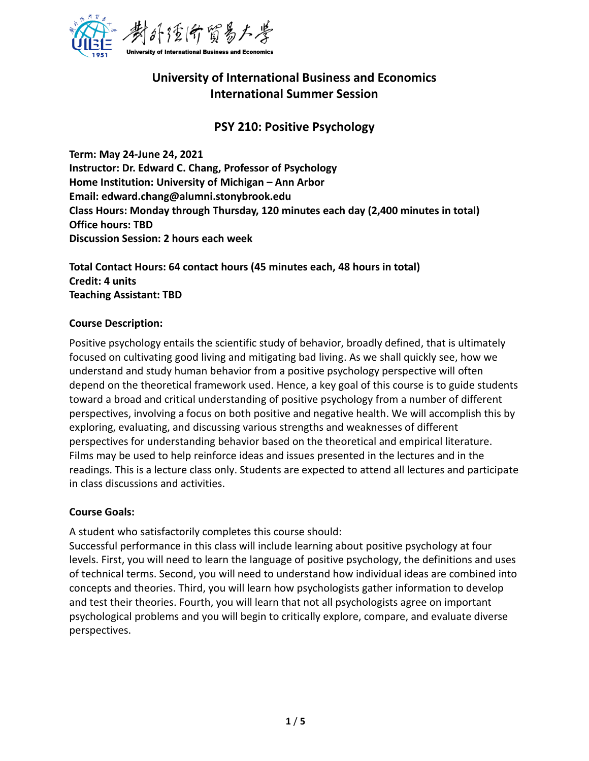

# **University of International Business and Economics International Summer Session**

# **PSY 210: Positive Psychology**

**Term: May 24-June 24, 2021 Instructor: Dr. Edward C. Chang, Professor of Psychology Home Institution: University of Michigan – Ann Arbor Email: edward.chang@alumni.stonybrook.edu Class Hours: Monday through Thursday, 120 minutes each day (2,400 minutes in total) Office hours: TBD Discussion Session: 2 hours each week** 

**Total Contact Hours: 64 contact hours (45 minutes each, 48 hours in total) Credit: 4 units Teaching Assistant: TBD**

#### **Course Description:**

Positive psychology entails the scientific study of behavior, broadly defined, that is ultimately focused on cultivating good living and mitigating bad living. As we shall quickly see, how we understand and study human behavior from a positive psychology perspective will often depend on the theoretical framework used. Hence, a key goal of this course is to guide students toward a broad and critical understanding of positive psychology from a number of different perspectives, involving a focus on both positive and negative health. We will accomplish this by exploring, evaluating, and discussing various strengths and weaknesses of different perspectives for understanding behavior based on the theoretical and empirical literature. Films may be used to help reinforce ideas and issues presented in the lectures and in the readings. This is a lecture class only. Students are expected to attend all lectures and participate in class discussions and activities.

#### **Course Goals:**

A student who satisfactorily completes this course should:

Successful performance in this class will include learning about positive psychology at four levels. First, you will need to learn the language of positive psychology, the definitions and uses of technical terms. Second, you will need to understand how individual ideas are combined into concepts and theories. Third, you will learn how psychologists gather information to develop and test their theories. Fourth, you will learn that not all psychologists agree on important psychological problems and you will begin to critically explore, compare, and evaluate diverse perspectives.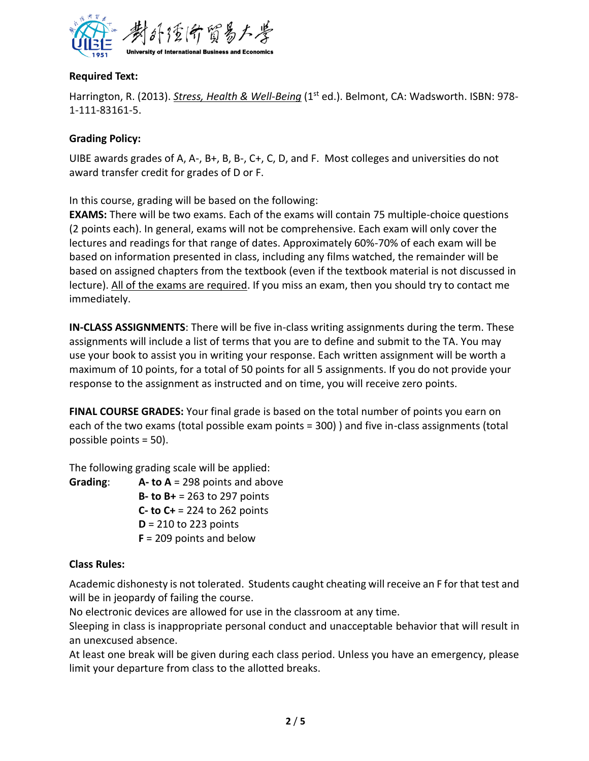

# **Required Text:**

Harrington, R. (2013). *Stress, Health & Well-Being* (1st ed.). Belmont, CA: Wadsworth. ISBN: 978-1-111-83161-5.

## **Grading Policy:**

UIBE awards grades of A, A-, B+, B, B-, C+, C, D, and F. Most colleges and universities do not award transfer credit for grades of D or F.

In this course, grading will be based on the following:

**EXAMS:** There will be two exams. Each of the exams will contain 75 multiple-choice questions (2 points each). In general, exams will not be comprehensive. Each exam will only cover the lectures and readings for that range of dates. Approximately 60%-70% of each exam will be based on information presented in class, including any films watched, the remainder will be based on assigned chapters from the textbook (even if the textbook material is not discussed in lecture). All of the exams are required. If you miss an exam, then you should try to contact me immediately.

**IN-CLASS ASSIGNMENTS**: There will be five in-class writing assignments during the term. These assignments will include a list of terms that you are to define and submit to the TA. You may use your book to assist you in writing your response. Each written assignment will be worth a maximum of 10 points, for a total of 50 points for all 5 assignments. If you do not provide your response to the assignment as instructed and on time, you will receive zero points.

**FINAL COURSE GRADES:** Your final grade is based on the total number of points you earn on each of the two exams (total possible exam points = 300) ) and five in-class assignments (total possible points = 50).

The following grading scale will be applied:

**Grading**: **A- to A** = 298 points and above **B- to B+** = 263 to 297 points **C- to C+** = 224 to 262 points **D** = 210 to 223 points **F** = 209 points and below

# **Class Rules:**

Academic dishonesty is not tolerated. Students caught cheating will receive an F for that test and will be in jeopardy of failing the course.

No electronic devices are allowed for use in the classroom at any time.

Sleeping in class is inappropriate personal conduct and unacceptable behavior that will result in an unexcused absence.

At least one break will be given during each class period. Unless you have an emergency, please limit your departure from class to the allotted breaks.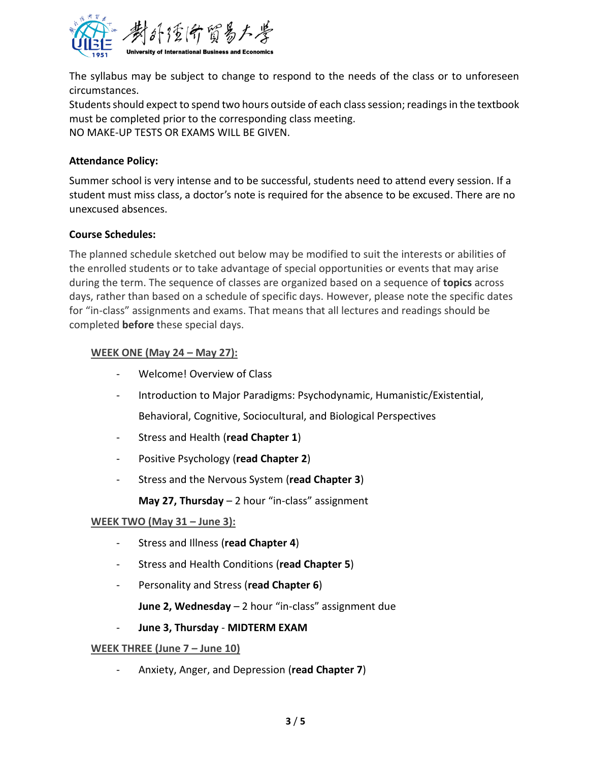

The syllabus may be subject to change to respond to the needs of the class or to unforeseen circumstances.

Students should expect to spend two hours outside of each class session; readings in the textbook must be completed prior to the corresponding class meeting. NO MAKE-UP TESTS OR EXAMS WILL BE GIVEN.

#### **Attendance Policy:**

Summer school is very intense and to be successful, students need to attend every session. If a student must miss class, a doctor's note is required for the absence to be excused. There are no unexcused absences.

## **Course Schedules:**

The planned schedule sketched out below may be modified to suit the interests or abilities of the enrolled students or to take advantage of special opportunities or events that may arise during the term. The sequence of classes are organized based on a sequence of **topics** across days, rather than based on a schedule of specific days. However, please note the specific dates for "in-class" assignments and exams. That means that all lectures and readings should be completed **before** these special days.

## **WEEK ONE (May 24 – May 27):**

- Welcome! Overview of Class
- Introduction to Major Paradigms: Psychodynamic, Humanistic/Existential,

Behavioral, Cognitive, Sociocultural, and Biological Perspectives

- Stress and Health (**read Chapter 1**)
- Positive Psychology (**read Chapter 2**)
- Stress and the Nervous System (**read Chapter 3**)

**May 27, Thursday** – 2 hour "in-class" assignment

#### **WEEK TWO (May 31 – June 3):**

- Stress and Illness (**read Chapter 4**)
- Stress and Health Conditions (**read Chapter 5**)
- Personality and Stress (**read Chapter 6**)

**June 2, Wednesday** – 2 hour "in-class" assignment due

- **June 3, Thursday** - **MIDTERM EXAM**

#### **WEEK THREE (June 7 – June 10)**

- Anxiety, Anger, and Depression (**read Chapter 7**)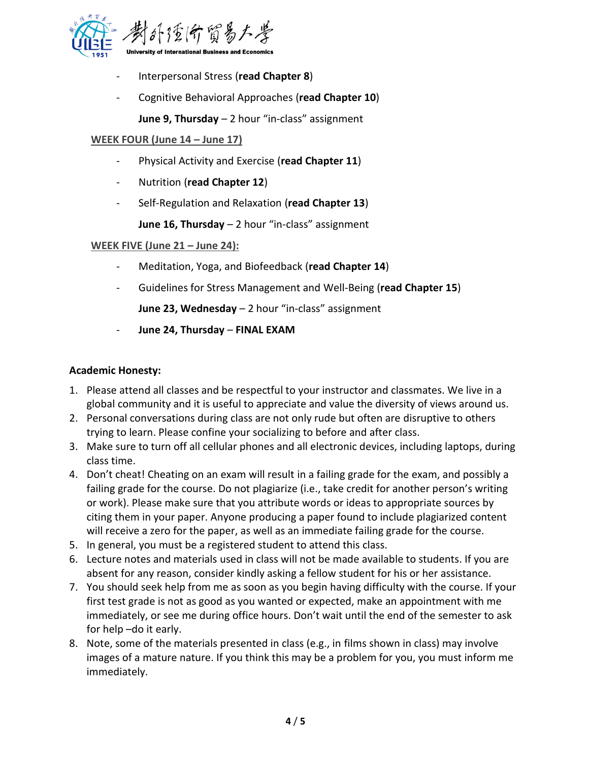

- Interpersonal Stress (**read Chapter 8**)
- Cognitive Behavioral Approaches (**read Chapter 10**)

**June 9, Thursday** – 2 hour "in-class" assignment

# **WEEK FOUR (June 14 – June 17)**

- Physical Activity and Exercise (**read Chapter 11**)
- Nutrition (**read Chapter 12**)
- Self-Regulation and Relaxation (**read Chapter 13**)

**June 16, Thursday** – 2 hour "in-class" assignment

## **WEEK FIVE (June 21 – June 24):**

- Meditation, Yoga, and Biofeedback (**read Chapter 14**)
- Guidelines for Stress Management and Well-Being (**read Chapter 15**)

**June 23, Wednesday** – 2 hour "in-class" assignment

- **June 24, Thursday** – **FINAL EXAM**

# **Academic Honesty:**

- 1. Please attend all classes and be respectful to your instructor and classmates. We live in a global community and it is useful to appreciate and value the diversity of views around us.
- 2. Personal conversations during class are not only rude but often are disruptive to others trying to learn. Please confine your socializing to before and after class.
- 3. Make sure to turn off all cellular phones and all electronic devices, including laptops, during class time.
- 4. Don't cheat! Cheating on an exam will result in a failing grade for the exam, and possibly a failing grade for the course. Do not plagiarize (i.e., take credit for another person's writing or work). Please make sure that you attribute words or ideas to appropriate sources by citing them in your paper. Anyone producing a paper found to include plagiarized content will receive a zero for the paper, as well as an immediate failing grade for the course.
- 5. In general, you must be a registered student to attend this class.
- 6. Lecture notes and materials used in class will not be made available to students. If you are absent for any reason, consider kindly asking a fellow student for his or her assistance.
- 7. You should seek help from me as soon as you begin having difficulty with the course. If your first test grade is not as good as you wanted or expected, make an appointment with me immediately, or see me during office hours. Don't wait until the end of the semester to ask for help –do it early.
- 8. Note, some of the materials presented in class (e.g., in films shown in class) may involve images of a mature nature. If you think this may be a problem for you, you must inform me immediately.